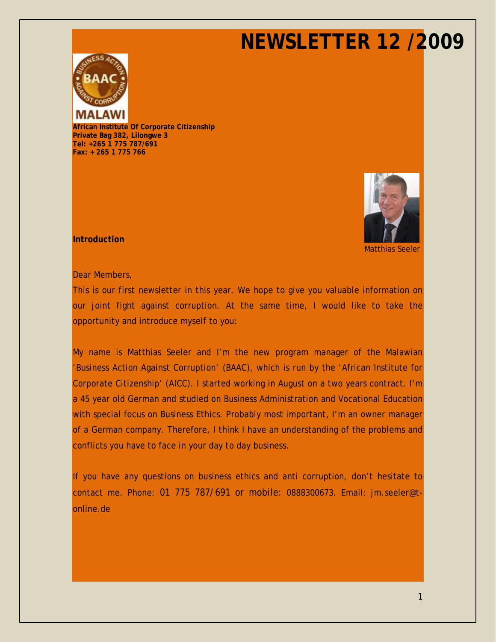

**African Institute Of Corporate Citizenship Private Bag 382, Lilongwe 3 Tel: +265 1 775 787/691 Fax: + 265 1 775 766**



Matthias Seeler

**Introduction**

Dear Members,

This is our first newsletter in this year. We hope to give you valuable information on our joint fight against corruption. At the same time, I would like to take the opportunity and introduce myself to you:

My name is Matthias Seeler and I'm the new program manager of the Malawian 'Business Action Against Corruption' (BAAC), which is run by the 'African Institute for Corporate Citizenship' (AICC). I started working in August on a two years contract. I'm a 45 year old German and studied on Business Administration and Vocational Education with special focus on Business Ethics. Probably most important, I'm an owner manager of a German company. Therefore, I think I have an understanding of the problems and conflicts you have to face in your day to day business.

If you have any questions on business ethics and anti corruption, don't hesitate to contact me. Phone: 01 775 787/691 or mobile: 0888300673. Email: [jm.seeler@t](mailto:jm.seeler@t-online.de)[online.de](mailto:jm.seeler@t-online.de)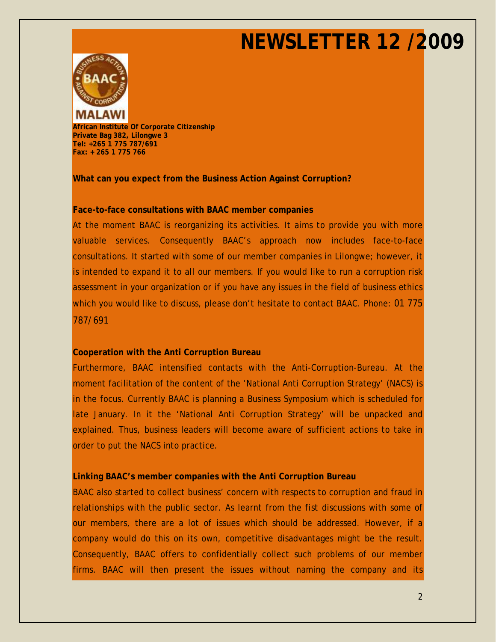

**African Institute Of Corporate Citizenship Private Bag 382, Lilongwe 3 Tel: +265 1 775 787/691 Fax: + 265 1 775 766**

**What can you expect from the Business Action Against Corruption?**

### **Face-to-face consultations with BAAC member companies**

At the moment BAAC is reorganizing its activities. It aims to provide you with more valuable services. Consequently BAAC's approach now includes face-to-face consultations. It started with some of our member companies in Lilongwe; however, it is intended to expand it to all our members. If you would like to run a corruption risk assessment in your organization or if you have any issues in the field of business ethics which you would like to discuss, please don't hesitate to contact BAAC. Phone: 01 775 787/691

### **Cooperation with the Anti Corruption Bureau**

Furthermore, BAAC intensified contacts with the Anti-Corruption-Bureau. At the moment facilitation of the content of the 'National Anti Corruption Strategy' (NACS) is in the focus. Currently BAAC is planning a Business Symposium which is scheduled for late January. In it the 'National Anti Corruption Strategy' will be unpacked and explained. Thus, business leaders will become aware of sufficient actions to take in order to put the NACS into practice.

### **Linking BAAC's member companies with the Anti Corruption Bureau**

BAAC also started to collect business' concern with respects to corruption and fraud in relationships with the public sector. As learnt from the fist discussions with some of our members, there are a lot of issues which should be addressed. However, if a company would do this on its own, competitive disadvantages might be the result. Consequently, BAAC offers to confidentially collect such problems of our member firms. BAAC will then present the issues without naming the company and its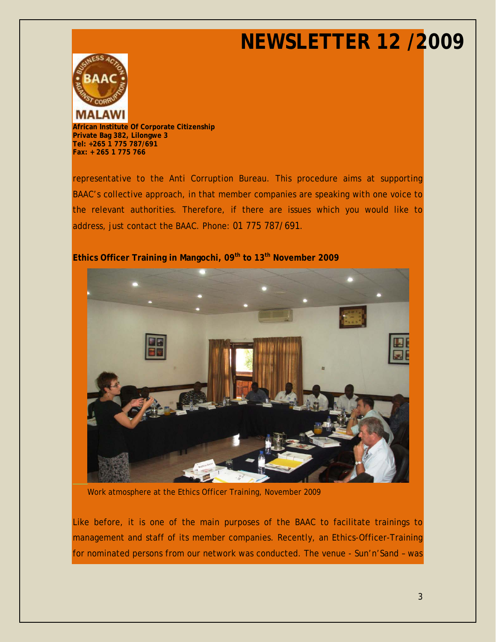

**African Institute Of Corporate Citizenship Private Bag 382, Lilongwe 3 Tel: +265 1 775 787/691 Fax: + 265 1 775 766**

representative to the Anti Corruption Bureau. This procedure aims at supporting BAAC's collective approach, in that member companies are speaking with one voice to the relevant authorities. Therefore, if there are issues which you would like to address, just contact the BAAC. Phone: 01 775 787/691.



**Ethics Officer Training in Mangochi, 09th to 13th November 2009**

Work atmosphere at the Ethics Officer Training, November 2009

Like before, it is one of the main purposes of the BAAC to facilitate trainings to management and staff of its member companies. Recently, an Ethics-Officer-Training for nominated persons from our network was conducted. The venue - Sun'n'Sand – was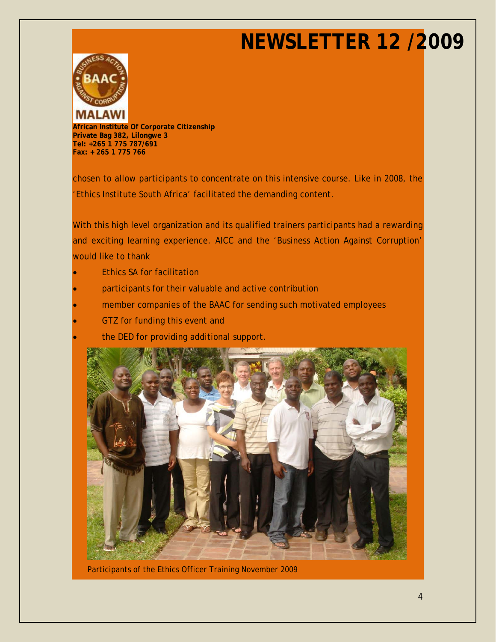

**African Institute Of Corporate Citizenship Private Bag 382, Lilongwe 3 Tel: +265 1 775 787/691 Fax: + 265 1 775 766**

chosen to allow participants to concentrate on this intensive course. Like in 2008, the 'Ethics Institute South Africa' facilitated the demanding content.

With this high level organization and its qualified trainers participants had a rewarding and exciting learning experience. AICC and the 'Business Action Against Corruption' would like to thank

- Ethics SA for facilitation
- participants for their valuable and active contribution
- member companies of the BAAC for sending such motivated employees
- GTZ for funding this event and
- the DED for providing additional support.



Participants of the Ethics Officer Training November 2009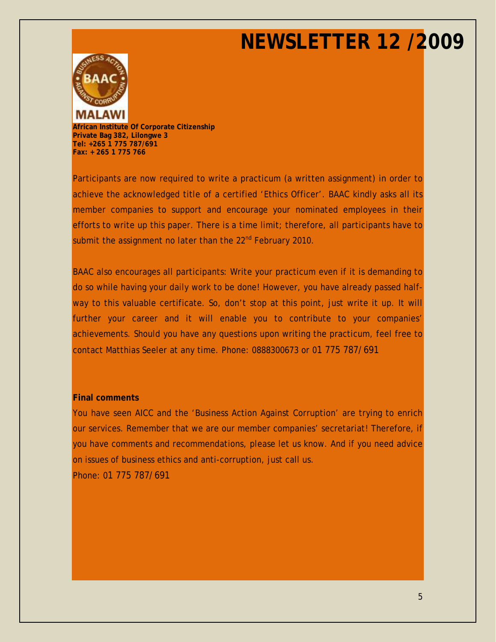

**African Institute Of Corporate Citizenship Private Bag 382, Lilongwe 3 Tel: +265 1 775 787/691 Fax: + 265 1 775 766**

Participants are now required to write a practicum (a written assignment) in order to achieve the acknowledged title of a certified 'Ethics Officer'. BAAC kindly asks all its member companies to support and encourage your nominated employees in their efforts to write up this paper. There is a time limit; therefore, all participants have to submit the assignment no later than the 22<sup>nd</sup> February 2010.

BAAC also encourages all participants: Write your practicum even if it is demanding to do so while having your daily work to be done! However, you have already passed halfway to this valuable certificate. So, don't stop at this point, just write it up. It will further your career and it will enable you to contribute to your companies' achievements. Should you have any questions upon writing the practicum, feel free to contact Matthias Seeler at any time. Phone: 0888300673 or 01 775 787/691

#### **Final comments**

You have seen AICC and the 'Business Action Against Corruption' are trying to enrich our services. Remember that we are our member companies' secretariat! Therefore, if you have comments and recommendations, please let us know. And if you need advice on issues of business ethics and anti-corruption, just call us.

Phone: 01 775 787/691